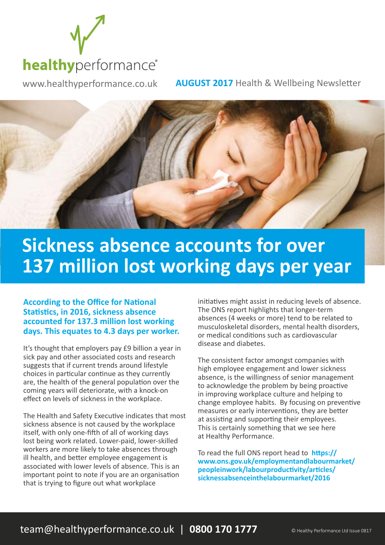

www.healthyperformance.co.uk **AUGUST 2017** Health & Wellbeing Newsletter



## **Sickness absence accounts for over 137 million lost working days per year**

#### **According to the Office for National Statistics, in 2016, sickness absence accounted for 137.3 million lost working days. This equates to 4.3 days per worker.**

It's thought that employers pay £9 billion a year in sick pay and other associated costs and research suggests that if current trends around lifestyle choices in particular continue as they currently are, the health of the general population over the coming years will deteriorate, with a knock-on effect on levels of sickness in the workplace.

The Health and Safety Executive indicates that most sickness absence is not caused by the workplace itself, with only one-fifth of all of working days lost being work related. Lower-paid, lower-skilled workers are more likely to take absences through ill health, and better employee engagement is associated with lower levels of absence. This is an important point to note if you are an organisation that is trying to figure out what workplace

initiatives might assist in reducing levels of absence. The ONS report highlights that longer-term absences (4 weeks or more) tend to be related to musculoskeletal disorders, mental health disorders, or medical conditions such as cardiovascular disease and diabetes.

The consistent factor amongst companies with high employee engagement and lower sickness absence, is the willingness of senior management to acknowledge the problem by being proactive in improving workplace culture and helping to change employee habits. By focusing on preventive measures or early interventions, they are better at assisting and supporting their employees. This is certainly something that we see here at Healthy Performance.

To read the full ONS report head to **https:// www.ons.gov.uk/employmentandlabourmarket/ peopleinwork/labourproductivity/articles/ sicknessabsenceinthelabourmarket/2016**